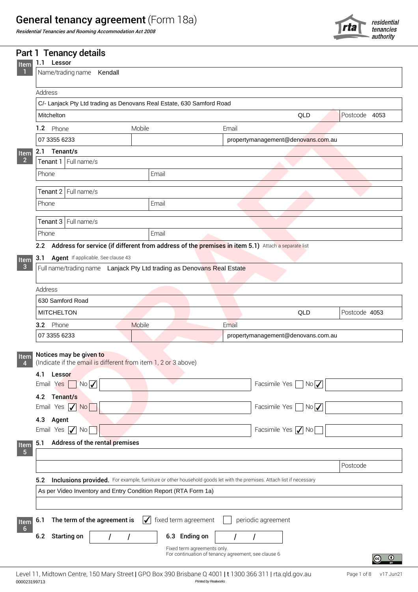## General tenancy agreement (Form 18a)

Residential Tenancies and Rooming Accommodation Act 2008



|                         | Part 1 Tenancy details                                                                                                      |                                                                        |                                                                                                    |                                    |                       |  |  |
|-------------------------|-----------------------------------------------------------------------------------------------------------------------------|------------------------------------------------------------------------|----------------------------------------------------------------------------------------------------|------------------------------------|-----------------------|--|--|
| Item                    | 1.1 Lessor                                                                                                                  |                                                                        |                                                                                                    |                                    |                       |  |  |
|                         | Name/trading name Kendall                                                                                                   |                                                                        |                                                                                                    |                                    |                       |  |  |
|                         | Address                                                                                                                     |                                                                        |                                                                                                    |                                    |                       |  |  |
|                         | C/- Lanjack Pty Ltd trading as Denovans Real Estate, 630 Samford Road                                                       |                                                                        |                                                                                                    |                                    |                       |  |  |
|                         | Mitchelton                                                                                                                  |                                                                        |                                                                                                    | QLD                                | Postcode 4053         |  |  |
|                         | 1.2 Phone                                                                                                                   | Mobile                                                                 | Email                                                                                              |                                    |                       |  |  |
|                         | 07 3355 6233                                                                                                                |                                                                        |                                                                                                    | propertymanagement@denovans.com.au |                       |  |  |
| Item                    | 2.1 Tenant/s                                                                                                                |                                                                        |                                                                                                    |                                    |                       |  |  |
| $\overline{\mathbf{2}}$ | Tenant 1 Full name/s                                                                                                        |                                                                        |                                                                                                    |                                    |                       |  |  |
|                         | Phone                                                                                                                       | Email                                                                  |                                                                                                    |                                    |                       |  |  |
|                         | Tenant 2 Full name/s                                                                                                        |                                                                        |                                                                                                    |                                    |                       |  |  |
|                         | Phone                                                                                                                       | Email                                                                  |                                                                                                    |                                    |                       |  |  |
|                         | Tenant 3 Full name/s                                                                                                        |                                                                        |                                                                                                    |                                    |                       |  |  |
|                         | Phone                                                                                                                       | Email                                                                  |                                                                                                    |                                    |                       |  |  |
|                         |                                                                                                                             |                                                                        |                                                                                                    |                                    |                       |  |  |
|                         | 2.2                                                                                                                         |                                                                        | Address for service (if different from address of the premises in item 5.1) Attach a separate list |                                    |                       |  |  |
| Item<br>$\mathbf{3}$    | Agent If applicable. See clause 43<br>3.1                                                                                   | Full name/trading name Lanjack Pty Ltd trading as Denovans Real Estate |                                                                                                    |                                    |                       |  |  |
|                         |                                                                                                                             |                                                                        |                                                                                                    |                                    |                       |  |  |
|                         | Address                                                                                                                     |                                                                        |                                                                                                    |                                    |                       |  |  |
|                         | 630 Samford Road                                                                                                            |                                                                        |                                                                                                    |                                    |                       |  |  |
|                         | <b>MITCHELTON</b>                                                                                                           |                                                                        |                                                                                                    | QLD                                | Postcode 4053         |  |  |
|                         | 3.2 Phone                                                                                                                   | Mobile                                                                 | Email                                                                                              |                                    |                       |  |  |
|                         | 07 3355 6233                                                                                                                |                                                                        | propertymanagement@denovans.com.au                                                                 |                                    |                       |  |  |
|                         |                                                                                                                             |                                                                        |                                                                                                    |                                    |                       |  |  |
| Item                    | Notices may be given to                                                                                                     |                                                                        |                                                                                                    |                                    |                       |  |  |
|                         |                                                                                                                             | (Indicate if the email is different from item 1, 2 or 3 above)         |                                                                                                    |                                    |                       |  |  |
|                         | 4.1<br>Lessor                                                                                                               |                                                                        |                                                                                                    | Facsimile Yes No                   |                       |  |  |
|                         | $Yes$ $No$ $\overline{\sqrt{ }}$<br>Email                                                                                   |                                                                        |                                                                                                    |                                    |                       |  |  |
|                         | Tenant/s<br>4.2                                                                                                             |                                                                        |                                                                                                    |                                    |                       |  |  |
|                         | Yes $\sqrt{\sqrt{N_0}}$<br>Email                                                                                            |                                                                        |                                                                                                    | Facsimile Yes No                   |                       |  |  |
|                         | 4.3<br>Agent                                                                                                                |                                                                        |                                                                                                    |                                    |                       |  |  |
|                         | Yes $\sqrt{\ }$ No<br>Email                                                                                                 |                                                                        |                                                                                                    | Facsimile Yes / No                 |                       |  |  |
| Item<br>$-5$            | Address of the rental premises<br>5.1                                                                                       |                                                                        |                                                                                                    |                                    |                       |  |  |
|                         |                                                                                                                             |                                                                        |                                                                                                    |                                    |                       |  |  |
|                         |                                                                                                                             |                                                                        |                                                                                                    |                                    | Postcode              |  |  |
|                         | Inclusions provided. For example, furniture or other household goods let with the premises. Attach list if necessary<br>5.2 |                                                                        |                                                                                                    |                                    |                       |  |  |
|                         | As per Video Inventory and Entry Condition Report (RTA Form 1a)                                                             |                                                                        |                                                                                                    |                                    |                       |  |  |
|                         |                                                                                                                             |                                                                        |                                                                                                    |                                    |                       |  |  |
|                         |                                                                                                                             |                                                                        |                                                                                                    |                                    |                       |  |  |
| Item<br>$6\overline{6}$ | The term of the agreement is<br>$6.1$                                                                                       | $\sqrt{\phantom{a}}$ fixed term agreement                              | periodic agreement                                                                                 |                                    |                       |  |  |
|                         | 6.2 Starting on                                                                                                             | 6.3 Ending on                                                          |                                                                                                    |                                    |                       |  |  |
|                         |                                                                                                                             |                                                                        | Fixed term agreements only.                                                                        |                                    |                       |  |  |
|                         |                                                                                                                             |                                                                        | For continuation of tenancy agreement, see clause 6                                                |                                    | $\bigcirc$ $\bigcirc$ |  |  |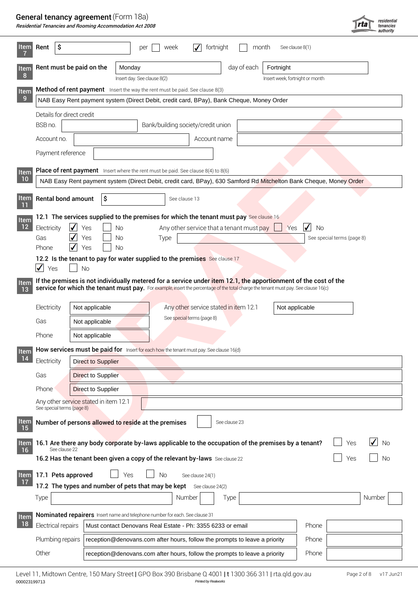#### General tenancy agreement (Form 18a)

| Residential Tenancies and Rooming Accommodation Act 2008 |  |
|----------------------------------------------------------|--|
|----------------------------------------------------------|--|

|                   |                                                                              | <b>General tenancy agreement</b> (Form 18a)<br>Residential Tenancies and Rooming Accommodation Act 2008 |                                                                                                                                     |                                                                     |                          |                                 | rta                        | residential<br>tenancies |
|-------------------|------------------------------------------------------------------------------|---------------------------------------------------------------------------------------------------------|-------------------------------------------------------------------------------------------------------------------------------------|---------------------------------------------------------------------|--------------------------|---------------------------------|----------------------------|--------------------------|
| <b>Item</b>       | -\$<br>Rent                                                                  |                                                                                                         | per<br>week                                                                                                                         | $\checkmark$<br>fortnight                                           | month                    | See clause 8(1)                 |                            |                          |
| Item<br>-8        |                                                                              | Rent must be paid on the                                                                                | Monday<br>Insert day. See clause 8(2)                                                                                               |                                                                     | day of each<br>Fortnight | Insert week, fortnight or month |                            |                          |
| Item              | Method of rent payment Insert the way the rent must be paid. See clause 8(3) |                                                                                                         |                                                                                                                                     |                                                                     |                          |                                 |                            |                          |
| -9                |                                                                              |                                                                                                         | NAB Easy Rent payment system (Direct Debit, credit card, BPay), Bank Cheque, Money Order                                            |                                                                     |                          |                                 |                            |                          |
|                   |                                                                              | Details for direct credit                                                                               |                                                                                                                                     |                                                                     |                          |                                 |                            |                          |
|                   | BSB no.                                                                      |                                                                                                         |                                                                                                                                     | Bank/building society/credit union                                  |                          |                                 |                            |                          |
|                   | Account no.                                                                  |                                                                                                         |                                                                                                                                     | Account name                                                        |                          |                                 |                            |                          |
|                   | Payment reference                                                            |                                                                                                         |                                                                                                                                     |                                                                     |                          |                                 |                            |                          |
| Item              |                                                                              |                                                                                                         | <b>Place of rent payment</b> Insert where the rent must be paid. See clause $8(4)$ to $8(6)$                                        |                                                                     |                          |                                 |                            |                          |
| 10                |                                                                              |                                                                                                         | NAB Easy Rent payment system (Direct Debit, credit card, BPay), 630 Samford Rd Mitchelton Bank Cheque, Money Order                  |                                                                     |                          |                                 |                            |                          |
| <b>Item</b>       |                                                                              | <b>Rental bond amount</b><br>S                                                                          | See clause 13                                                                                                                       |                                                                     |                          |                                 |                            |                          |
| Item              |                                                                              |                                                                                                         | 12.1 The services supplied to the premises for which the tenant must pay See clause 16                                              |                                                                     |                          |                                 |                            |                          |
| 12                | Electricity                                                                  | $\blacktriangledown$<br>Yes                                                                             | Νo                                                                                                                                  | Any other service that a tenant must pay $\Box$                     |                          | $\sqrt{N}$<br>Yes               |                            |                          |
|                   | Gas                                                                          | $\sqrt{\ }$ Yes                                                                                         | Type<br><b>No</b>                                                                                                                   |                                                                     |                          |                                 | See special terms (page 8) |                          |
|                   | Phone                                                                        | $\sqrt{ }$ Yes                                                                                          | <b>No</b>                                                                                                                           |                                                                     |                          |                                 |                            |                          |
|                   | $\sqrt{ }$<br>Yes                                                            | <b>No</b>                                                                                               | 12.2 Is the tenant to pay for water supplied to the premises See clause 17                                                          |                                                                     |                          |                                 |                            |                          |
|                   |                                                                              |                                                                                                         | If the premises is not individually metered for a service under item 12.1, the apportionment of the cost of the                     |                                                                     |                          |                                 |                            |                          |
| <b>Item</b><br>13 |                                                                              |                                                                                                         | service for which the tenant must pay. For example, insert the percentage of the total charge the tenant must pay. See clause 16(c) |                                                                     |                          |                                 |                            |                          |
|                   |                                                                              |                                                                                                         |                                                                                                                                     |                                                                     |                          |                                 |                            |                          |
|                   | Electricity                                                                  | Not applicable                                                                                          |                                                                                                                                     | Any other service stated in item 12.1<br>See special terms (page 8) |                          | Not applicable                  |                            |                          |
|                   | Gas                                                                          | Not applicable                                                                                          |                                                                                                                                     |                                                                     |                          |                                 |                            |                          |
|                   | Phone                                                                        | Not applicable                                                                                          |                                                                                                                                     |                                                                     |                          |                                 |                            |                          |
| Item              |                                                                              |                                                                                                         | How services must be paid for Insert for each how the tenant must pay. See clause 16(d)                                             |                                                                     |                          |                                 |                            |                          |
| 14                | Electricity                                                                  | <b>Direct to Supplier</b>                                                                               |                                                                                                                                     |                                                                     |                          |                                 |                            |                          |
|                   | Gas                                                                          | <b>Direct to Supplier</b>                                                                               |                                                                                                                                     |                                                                     |                          |                                 |                            |                          |
|                   | Phone <sup>®</sup>                                                           | Direct to Supplier                                                                                      |                                                                                                                                     |                                                                     |                          |                                 |                            |                          |
|                   |                                                                              |                                                                                                         |                                                                                                                                     |                                                                     |                          |                                 |                            |                          |
|                   | See special terms (page 8)                                                   | Any other service stated in item 12.1                                                                   |                                                                                                                                     |                                                                     |                          |                                 |                            |                          |
| Item<br><b>15</b> |                                                                              |                                                                                                         | Number of persons allowed to reside at the premises                                                                                 | See clause 23                                                       |                          |                                 |                            |                          |
| Item<br>16        | See clause 22                                                                |                                                                                                         | 16.1 Are there any body corporate by-laws applicable to the occupation of the premises by a tenant?                                 |                                                                     |                          |                                 | Yes                        | $\sqrt{N}$               |
|                   |                                                                              |                                                                                                         | 16.2 Has the tenant been given a copy of the relevant by-laws See clause 22                                                         |                                                                     |                          |                                 | Yes                        | <b>No</b>                |
|                   | Item 17.1 Pets approved                                                      |                                                                                                         | Yes<br><b>No</b>                                                                                                                    | See clause 24(1)                                                    |                          |                                 |                            |                          |
| $\overline{17}$   |                                                                              |                                                                                                         | 17.2 The types and number of pets that may be kept See clause 24(2)                                                                 |                                                                     |                          |                                 |                            |                          |
|                   | Type                                                                         |                                                                                                         |                                                                                                                                     | Number<br>Type                                                      |                          |                                 |                            | Number                   |
|                   |                                                                              |                                                                                                         |                                                                                                                                     |                                                                     |                          |                                 |                            |                          |
| Item              |                                                                              |                                                                                                         | Nominated repairers Insert name and telephone number for each. See clause 31                                                        |                                                                     |                          |                                 |                            |                          |
| 18                | Electrical repairs                                                           |                                                                                                         | Must contact Denovans Real Estate - Ph: 3355 6233 or email                                                                          |                                                                     |                          | Phone                           |                            |                          |
|                   | Plumbing repairs                                                             |                                                                                                         | reception@denovans.com after hours, follow the prompts to leave a priority                                                          |                                                                     |                          | Phone                           |                            |                          |
|                   | Other                                                                        |                                                                                                         | reception@denovans.com after hours, follow the prompts to leave a priority                                                          |                                                                     |                          | Phone                           |                            |                          |
|                   |                                                                              |                                                                                                         |                                                                                                                                     |                                                                     |                          |                                 |                            |                          |

000023199713 *Printed by Realworks* Level 11, Midtown Centre, 150 Mary Street | GPO Box 390 Brisbane Q 4001 | t 1300 366 311 | rta.qld.gov.au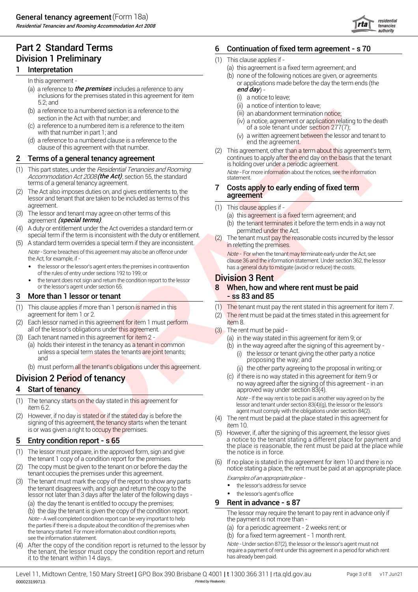Residential Tenancies and Rooming Accommodation Act 2008

## Part 2 Standard Terms 6 Division 1 Preliminary

#### Interpretation

- (a) a reference to *the premises* includes a reference to any **end day** has **end day** has **end day** and **end day** has a set of the premises includes a reference to any and  $\boldsymbol{g}$ inclusions for the premises stated in this agreement for item 5.2; and
- (b) a reference to a numbered section is a reference to the section in the Act with that number; and
- (c) a reference to a numbered item is a reference to the item with that number in part 1; and
- (d) a reference to a numbered clause is a reference to the clause of this agreement with that number.

#### Terms of a general tenancy agreement

- This part states, under the *Hesidential Tenancies and Hooming*<br>Accommodation Act 2008 **(the Act)**, section 55, the standard<br>terms of a general tenancy agreement. terms of a general tenancy agreement.<br>2 The Act also imposes duties on, and gives entitlements to, the Accommodation Act 2008 (the Act), section 55, the standard (1) This part states, under the Residential Tenancies and Rooming
- lessor and tenant that are taken to be included as terms of this agreement. (1) (1)
- $(3)$ agreement *(special terms)*.  $\begin{pmatrix} a & b \\ c & d \end{pmatrix}$  to the contract  $\begin{pmatrix} a & b \\ c & d \end{pmatrix}$  to the contract of the contract of the contract of the contract of the contract of the contract of the contract of the contract of t The lessor and tenant may agree on other terms of this
- (4) A duty or entitlement under the Act overrides a standard term or permitted under the Act.<br>special term if the term is inconsistent with the duty or entitlement. (2) The tenant must pay the rea A duty or entitlement under the Act overrides a standard term or
- (5) A standard term overrides a special term if they are inconsistent. Note - Some breaches of this agreement may also be an offence under
	- of the rules of entry under sections 192 to 199; or
	- the tenant does not sign and return the condition report to the lessor **Division 3 Rent** or the lessor's agent under section 65. 8

#### 3 More than 1 lessor or tenant that the state of the state  $\sim$  ss 83 and 85

- (1) agreement for item 1 or 2. (2) (2) This clause applies if more than 1 person is named in this
- (2) Each lessor named in this agreement for item 1 must perform **the computation item** 8. all of the lessor's obligations under this agreement. (3)
- (3) Each tenant named in this agreement for item 2 All and the state of all item  $(2)$ 
	- (a) holds their interest in the tenancy as a tenant in common unless a special term states the tenants are joint tenants; and
	- (b) must perform all the tenant's obligations under this agreement.

## Division 2 Period of tenancy

#### Start of tenancy

- (1) item 6.2. The tenancy starts on the day stated in this agreement for
- (2) However, if no day is stated or if the stated day is before the However, if no day is stated or if the stated day is before the tenant (4)<br>signing of this agreement, the tenancy starts when the tenant is or was given <sup>a</sup> right to occupy the premises. (5)

#### 5 Entry condition report - s 65

- (1) the tenant 1 copy of a condition report for the premises.  $(6)$ The lessor must prepare, in the approved form, sign and give
- (2) The copy must be given to the tenant on or before the day the
- (3) the tenant disagrees with, and sign and return the copy to the lessor not later than 3 days after the later of the following days - (a) the day the tenant is entitled to occupy the premises; The tenant must mark the copy of the report to show any parts

Note - A well completed condition report can be very important to help the parties if there is a dispute about the condition of the premises when the tenancy started. For more information about condition reports, see the information statement.

(4) After the copy of the condition report is returned to the lessor by the tenant, the lessor must copy the condition report and return it to the tenant within 14 days.

#### Continuation of fixed term agreement - s 70

- (1) This clause applies if -
	- (a) this agreement is a fixed term agreement; and
- (b) none of the following notices are given, or agreements In this agreement - or and process are given, or agreement - or applications made before the day the term ends (the
	- (i) a notice to leave;
	- (ii) a notice of intention to leave;
	- (iii) an abandonment termination notice;
	- (iv) a notice, agreement or application relating to the death of a sole tenant under section 277(7);
	- (v) a written agreement between the lessor and tenant to end the agreement.
- exact the anti-best and the time of the state of the state of the state of the state of the state of the state of the state of the state of the state of the state of the state of the state of the state of the state of the **2 Terms of a general tenancy agreement 2** continues to apply after the end day on the basis that the tenant is holding over under a periodic agreement. (2) This agreement, other than a term about this agreement's term,

#### Costs apply to early ending of fixed term agreement

- $(1)$  This clause applies if -
	- (a) this agreement is a fixed term agreement; and
	- (b) the tenant terminates it before the term ends in a way not
- in reletting the premises. The tenant must pay the reasonable costs incurred by the lessor

Note - Some breaches of this agreement may also be an offence under<br>the Act, for example, if - Note - For when the tenant may terminate early under the Act, see<br>clause 36 and the information statement. Under section 362, t The Act, for example, if  $\cdot$  the lessor's agent enters the premises in contravention and the costs of the information statement. Under section 362, the lessor  $\cdot$  the lessor or the lessor's agent enters the premises in c

# When, how and where rent must be paid

- (1) The tenant must pay the rent stated in this agreement for item 7.
- The rent must be paid at the times stated in this agreement for
- The rent must be paid
	- (a) in the way stated in this agreement for item 9; or
	- (i) the lessor or tenant giving the other party a notice proposing the way; and (b) in the way agreed after the signing of this agreement by -
		- (ii) the other party agreeing to the proposal in writing; or
	- no way agreed after the signing of this agreement in an approved way under section 83(4). if there is no way stated in this agreement for item 9 or

Note - If the way rent is to be paid is another way agreed on by the lessor and tenant under section 83(4)(g), the lessor or the lessor's agent must comply with the obligations under section 84(2).

- item 10. The rent must be paid at the place stated in this agreement for
- However, if, after the signing of this agreement, the lessor gives a notice to the tenant stating a different place for payment and the place is reasonable, the rent must be paid at the place while the notice is in force.
- If no place is stated in this agreement for item 10 and there is no The copy must be given to the tenant on or before the day the the rent must be paid at an appropriate place.<br>The rent occupies the premises under this agreement. Examples of an appropriate place -
	- the lessor's address for service
	- the lessor's agent's office

#### Rent in advance - s 87

(b) the day the tenant is given the copy of the condition report.<br>
Note - A well completed condition report can be very important to help<br>
the payment is not more than -

- (a) for a periodic agreement 2 weeks rent; or
- (b) for a fixed term agreement 1 month rent.

Note - Under section 87(2), the lessor or the lessor's agent must not require a payment of rent under this agreement in a period for which rent has already been paid.

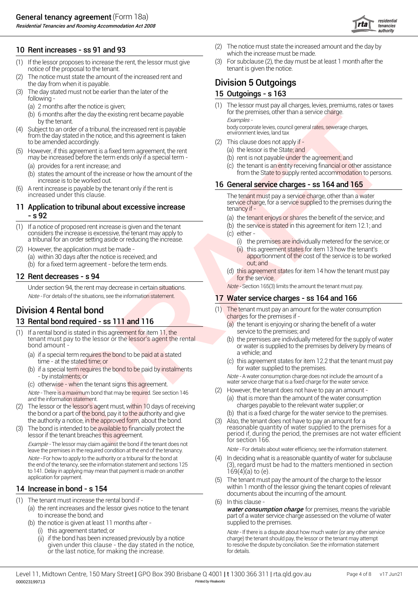Residential Tenancies and Rooming Accommodation Act 2008

- (1) If the lessor proposes to increase the rent, the lessor must give  $(3)$ notice of the proposal to the tenant. The proposal to the tenant is given the notice.
- (2) the day from when it is payable. **Division 5 Outgoings** The notice must state the amount of the increased rent and
- (3) The day stated must not be earlier than the later of the  $\overline{\phantom{a}}$  15 Ou following -
	- (a)  $2$  months after the notice is given;  $(1)$
	- (b) 6 months after the day the existing rent became payable for the premises, other than a service charge.
- (4) Subject to an order of a tribunal, the increased rent is payable from the day stated in the notice, and this agreement is taken to be amended accordingly.
- (5) However, if this agreement is a fixed term agreement, the rent (a) t may be increased before the term ends only if a special term -
	- (a) provides for a rent increase; and  $\qquad \qquad \text{(c)} \text{ t}$
	- increase is to be worked out.<br>A rent increase is payable by the tenant only if the rent is  $\begin{array}{r} \textbf{16} \textbf{G} \textbf{G} \end{array}$
- (6) increased under this clause.

# **- s 92** (a) t

- (b) (1) If a notice of proposed rent increase is given and the tenant considers the increase is excessive, the tenant may apply to a tribunal for an order setting aside or reducing the increase.
- (2) However, the application must be made The Contract of Contract Contract Contract Contract Contract Contract Contract Contract Contract Contract Contract Contract Contract Contract Contract Contract Contract Contract (a) within 30 days after the notice is received; and **the notice is received; and** apportionm<br>(b) for a fixed term agreement - before the term ends. With a sout; and

# 12 **Rent decreases - s 94 CONSIDERED ASSES** (d) this agreement of the service.

Under section 94, the rent may decrease in certain situations. Note-Section 165(3) limits the amount the tenant must pay. Note - For details of the situations, see the information statement.

# **13 Rental bond required - ss 111 and 116** Charges for the premises if -<br>(a) the tenant is enjoying or sh

- (1) If a rental bond is stated in this agreement for item 11, the service to the premises; and tenant must pay to the lessor or the lessor's agent the rental bond amount -
	- (a) if a special term requires the bond to be paid at a stated **come a** vehicle; and time - at the stated time; or
	- (b) if a special term requires the bond to be paid by instalments for water supplied to the premises.
	- (c) otherwise when the tenant signs this agreement.

Note - There is a maximum bond that may be required. See section 146

- (2) The lessor or the lessor's agent must, w<mark>ithin 1</mark>0 days of receiving resonance tharges payable to the relevant water supplier; or the bond or a part of the bond, pay it to the authority and give the authority a notice, in the approved form, about the bond.
- (3) The bond is intended to be available to financially protect the lessor if the tenant breaches this agreement.

Example - The lessor may claim against the bond if the tenant does not leave the premises in the required condition at the end of the tenancy. Note - For details about water efficiency, see the information statement. Note - For how to apply to the authority or a tribunal for the bond at the end of the tenancy, see the information statement and sections 125 to 141. Delay in applying may mean that payment is made on another application for payment.

## 14 Increase in bond - s 154

- (1) The tenant must increase the rental bond if
	- to increase the bond; and (a) the rent increases and the lessor gives notice to the tenant
	- (b) the notice is given at least 11 months after
		- (i) this agreement started; or
		- (ii) if the bond has been increased previously by a notice given under this clause - the day stated in the notice, or the last notice, for making the increase.
- 10 **Rent increases ss 91 and 93** (2) The notice must state the increased **10** Rent increases and the increased which the increase must be made. (2) The notice must state the increased amount and the day by which the increase must be made.
	- For subclause (2), the day must be at least 1 month after the

#### 15 Outgoings - s 163

by the tenant.<br>
bigect to an order of a tribunal, the increased rent is payable<br>
the day stated in the potice and this acrooment is taken environment levies, land tax The lessor must pay all charges, levies, premiums, rates or taxes for the premises, other than a service charge.

- (2) This clause does not apply if
	- (a) the lessor is the State; and
	- (b) rent is not payable under the agreement; and
- (b) states the amount of the increase or how the amount of the state to supply rented accommodation to persons. (c) the tenant is an entity receiving financial or other assistance from the State to supply rented accommodation to persons.

#### 16 General service charges - ss 164 and 165

The tenant must pay a service charge, other than a water<br>service charge, for a service supplied to the premises during the **11 Application to tribunal about excessive increase 11 tenancy if -** Applied to the premises during the 11 **Application to tribunal about excessive increase** 

(a) the tenant enjoys or shares the benefit of the service; and

- (b) the service is stated in this agreement for item  $12.1$ ; and
- (c) either
	- (i) the premises are individually metered for the service; or (ii) this agreement states for item 13 how the tenant's
- (a) within 30 days after the notice is received; and<br>(b) for a fixed term agreement before the term ends out: and out: and
	- (d) this agreement states for item 14 how the tenant must pay

#### 17 Water service charges - ss 164 and 166

- **Division 4 Rental bond** (1) The tenant must pay an ame (1) The tenant must pay an amount for the water consumption
	- (a) the tenant is enjoying or sharing the benefit of a water service to the premises; and
	- (b) or water is supplied to the premises by delivery by means of<br>a vehicle; and the premises are individually metered for the supply of water
	- $\sigma$  this agreement states for item 12.2 that the tenant must pay

- by instalments; or Note - A water consumption charge does not include the amount of a water service charge that is a fixed charge for the water service.

- (2) However, the tenant does not have to pay an amount -(a) that is more than the amount of the water consumption
- and the information statement.<br>The lessor or the lessor's agent must within 10 days of receiving and the information state supplier; or the lessor or the lessor's agent must within 10 days of receiving
	- (b) that is a fixed charge for the water service to the premises.
- For the material control of the planet and state in the state of the state of the state of the state of the state of the state of the state of the state of the state of the state of the state of the state of the state of Also, the tenant does not have to pay an amount for a reasonable quantity of water supplied to the premises for a period if, during the period, the premises are not water efficient for section 166.

- In deciding what is a reasonable quantity of water for subclause (3), regard must be had to the matters mentioned in section  $169(4)(a)$  to (e).
- within 1 month of the lessor giving the tenant copies of relevant documents about the incurring of the amount. The tenant must pay the amount of the charge to the lessor
- (6) In this clause -
- (a) the rent increases and the lessor gives notice to the tenant **water consumption charge** for premises, means the variable part of a water service charge assessed on the volume of water supplied to the premises.

Note - If there is a dispute about how much water (or any other service charge) the tenant should pay, the lessor or the tenant may attempt to resolve the dispute by conciliation. See the information statement for details.

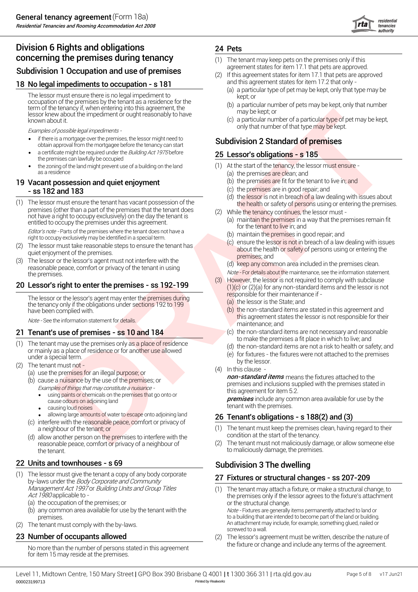## Division 6 Rights and obligations **concerning the premises during tenancy**<br>
(1) The tenant may keep pets on the premises only if this<br> **Cub division 1 Occur ation** and use of nuclear to premise a supproved. Subdivision 1 Occupation and use of premises

#### 18 No legal impediments to occupation - s 181 and this agreement states for item 17.2 that only -

The lessor must ensure there is no legal impediment to occupation of the premises by the tenant as a residence for the term of the tenancy if, when entering into this agreement, the lessor knew about the impediment or ought reasonably to have known about it.

- if there is a mortgage over the premises, the lessor might need to **Subdivision 2 Standard of premises**<br>obtain approval from the mortgagee before the tenancy can start **Subdivision 2 Standard of premises** • if there is a mortgage over the premises, the lessor might need to
- a certificate might be required under the *Building Act 1975* before 25 Let the premises can lawfully be occupied
- the zoning of the land might prevent use of a building on the land  $(1)$ as a residence

#### 19 Vacant possession and quiet enjoyment  $(5)$  t (c) - ss 182 and 183

example, the material particular control in the state of control of the state of the state of the state of the state of the state of the state of the state of the state of the state of the state of the state of the state o The lessor must ensure the tenant has vacant possession of the  $\frac{1}{2}$  the health or safety of persons using or entering the premises.<br>premises (other than a part of the premises that the tenant does  $\frac{1}{2}$  while the not have a right to occupy exclusively) on the day the tenant is entitled to occupy the premises under this agreement. The lessor must ensure the tenant has vacant possession of the

Editor's note - Parts of the premises where the tenant does not have a right to occupy exclusively may be identified in a special term.

- quiet enjoyment of the premises. The lessor must take reasonable steps to ensure the tenant has
- (3) The lessor or the lessor's agent must not interfere with the reasonable peace, comfort or privacy of the tenant in using<br>the premises.

The lessor or the lessor's agent may enter the premises during responsible for their maintenance if the tenancy only if the obligations under sections 192 to 199 have been complied with.

#### **21 Tenant's use of premises - ss 10 and 184**  $\qquad \qquad$  (c) t

- (1) The tenant may use the premises only as a place of residence or mainly as a place of residence or for another use allowed under a special term. (e) for fixtures - t<br>by the lessor.
- by the lessor.<br>
(2) The tenant must not the character of the lessor.<br>
(4) In this clause
	- (a) use the premises for an illegal purpose; or
	- Examples of things that may constitute <sup>a</sup> nuisance (b) cause a nuisance by the use of the premises; or
		- this agreement for item 5.2.<br>• using paints or chemicals on the premises that go onto or **remises** that go onto or tensive original tensive on adjoining land<br>tenant with the premises.
		- causing loud noises
		- allowing large amounts of water to escape onto adjoining land  $26 \text{ Te}$
	- (c) interfere with the reasonable peace, comfort or privacy of a neighbour of the tenant; or (1) The tenant must keep the premises<br>allow another person on the premises to interfere with the condition at the start of the tenancy.
	- (d) allow another person on the premises to interfere with the condition at the start of the tenancy. reasonable peace, comfort or privacy of a neighbour of (2) the tenant. The tenant to maliciously damage, the premises.

#### Units and townhouses - s 69

- (1) The lessor must give the tenant a copy of any body corporate **27 Fix**<br>by-laws under the *Body Corporate and Community* Management Act 1997 or Building Units and Group Titles (1)<br>Act 1980 applicable to -
	- (a) the occupation of the premises; or the structural change.
	-
- (2) The tenant must comply with the by-laws.

#### **23 Number of occupants allowed** (2) (2)

for item 15 may reside at the premises.

#### 24 Pets

- (1) The tenant may keep pets on the premises only if this
- If this agreement states for item 17.1 that pets are approved
	- kept; or (a) a particular type of pet may be kept, only that type may be
	- (b) a particular number of pets may be kept, only that number may be kept; or
- (c) a particular number of a particula<mark>r type o</mark>f pet may be kept, Examples of possible legal impediments -

#### 25 Lessor's obligations - s 185

- (1) At the start of the tenancy, the lessor must ensure -
	- (a) the premises are clean; and
	- (b) the premises are fit for the tenant to live in; and
	- (c) the premises are in good repair; and
	- (d) the lessor is not in breach of a law dealing with issues about
- (2) While the tenancy continues, the lessor must -
	- (a) maintain the premises in a way that the premises remain fit for the tenant to live in; and
	- (b) maintain the premises in good repair; and
	- (c) ensure the lessor is not in breach of a law dealing with issues about the health or safety of persons using or entering the premises; and
	- (d) keep any common area included in the premises clean.
- Note For details about the maintenance, see the information statement.<br>(3) However, the lessor is not required to comply with subclause **20 Lessor's right to enter the premises - ss 192-199** (3) However, the lessor is not required to comply with subclause  $(1)(c)$  or  $(2)(a)$  for any non-standard items and the lessor is not However, the lessor is not required to comply with subclause  $(1)(c)$  or  $(2)(a)$  for any non-standard items and the lessor is not
	- (a) the lessor is the State; and
	- (b) the non-standard items are stated in this agreement and Note - See the information statement for details. This agreement states the lessor is not responsible for their maintenance; and
		- to make the premises a fit place in which to live; and the non-standard items are not necessary and reasonable
		- (d) the non-standard items are not a risk to health or safety; and
		- (e) for fixtures the fixtures were not attached to the premises
		- (4) In this clause -

(a) use the premises for an illegal purpose; or<br>(b) equals a purpose by the use of the promises: or **non-standard items** means the fixtures attached to the premises and inclusions supplied with the premises stated in this agreement for item 5.2.

cause odours on adjoining land<br>cause odours on adjoining land

#### Tenant's obligations - s 188(2) and (3)

- The tenant must keep the premises clean, having regard to their
- The tenant must not maliciously damage, or allow someone else

#### Subdivision 3 The dwelling

#### Fixtures or structural changes - ss 207-209

- the premises only if the lessor agrees to the fixture's attachment<br>or the structural change. (b) any common area available for use by the tenant with the *Note -* Fixtures are generally items permanently attached to land or premises.<br>
premises. to a building that are intended to become part of the land or building.<br>
An attachment may include, for example, something glued, nailed or<br>
screwed to a wall. The tenant may attach a fixture, or make a structural change, to
- No more than the number of persons stated in this agreement the fixture or change and include any terms of the agreement. The lessor's agreement must be written, describe the nature of

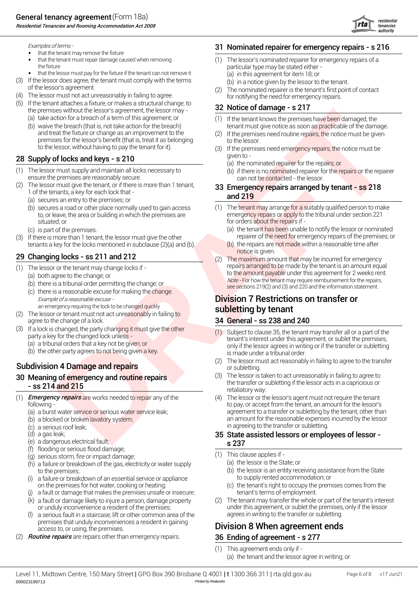Residential Tenancies and Rooming Accommodation Act 2008



Examples of terms - 31

- that the tenant may remove the fixture
- that the tenant must repair damage caused when removing (1) (1) the fixture particular type may be stated either -
- that the lessor must pay for the fixture if the tenant can not remove it (a) in
- (3) If the lessor does agree, the tenant must comply with the terms (b) in
- (4) The lessor must not act unreasonably in failing to agree.  $\hskip1cm$  for notifying the need for emergency repairs.
- the premises without the lessor's agreement, the lessor may - $(5)$  If the tenant attaches a fixture, or makes a structural change, to
	- (a) (1) take action for a breach of a term of this agreement; or
	- and treat the fixture or change as an improvement to the (2) premises for the lessor's benefit (that is, treat it as belonging to the lessor to the lessor, without having to pay the tenant for it). (b) waive the breach (that is, not take action for the breach)

## 28 Supply of locks and keys - s 210  $\frac{1}{2}$  given to -

- (1) The lessor must supply and maintain all locks necessary to  $\qquad \qquad \textrm{(b)}$  if ensure the premises are reasonably secure. Can not be contacted - the lessor.
- (2) The lessor must give the tenant, or if there is more than 1 tenant,  $\overline{33}$  En 1 of the tenants, a key for each lock that - **and 219** 
	- (a) secures an entry to the premises; or
	- (b) secures a road or other place normally used to gain access  $(1)$ situated; or **for orders about the repairs if -** for orders about the repairs if -
	- (c) is part of the premises. (a) t
- (3) If there is more than 1 tenant, the lessor must give the other repairer of the need for emergency repairs of the premises; or tenants a key for the locks mentioned in subclause  $(2)(a)$  and  $(b)$ .

# notice is given. <sup>29</sup> (2) Changing locks - ss 211 and 212

- $(1)$  The lessor or the tenant may change locks if -
	- (a) both agree to the change; or
	- $(b)$  there is a tribunal order permitting the change; or
	- $(c)$  there is a reasonable excuse for making the change.
- an emergency requiring the lock to be changed quickly subsection of the lessor or tenant must not act unreasonably in failing to subletting by tenant agree to the change of a lock.
- (3) If a lock is changed, the party changing it must give the other
	- (b) the other party agrees to not being given a key. (a) a tribunal orders that a key not be given; or

#### **Subdivision 4 Damage and repairs Container and Subdivision 4 Damage and repairs** or subletting.

# 30 Meaning of emergency and routine repairs (3) 30 Meaning of emergency and routine repairs

- (1) Emergency repairs are works needed to repair any of the
	- (a) a burst water service or serious water service leak;
	- (b) a blocked or broken lavatory system;
	- (c) a serious roof leak;
	- (d) a gas leak; **35 St**
	- (e) s 237 a dangerous electrical fault;
	- (f) flooding or serious flood damage;
	- (g) serious storm, fire or impact damage;
	- $(h)$  a failure or breakdown of the gas, electricity or water supply  $(a)$  t
	- (i) a failure or breakdown of an essential service or appliance the supply rented accommodation; or
	- (j) a fault or damage that makes the premises unsafe or insecure; tenant's terms of employment.
	- (k) a fault or damage likely to injure a person, damage property  $\qquad \qquad (2)$
	- (l) a serious fault in a staircase, lift or other common area of the agrees in writing to the transfer or subletting. premises that unduly inconveniences a resident in gaining
- (2) **Routine repairs** are repairs other than emergency repairs. **36 En**

## Nominated repairer for emergency repairs - s 216

- The lessor's nominated repairer for emergency repairs of a (a) in this agreement for item 18; or
	- (b) in a notice given by the lessor to the tenant.
- of the lessor's agreement.<br>
The nominated repairer is the tenant's first p<br>
The nominated repairer is the tenant's first p<br>
for notifying the need for emergency repairs. The nominated repairer is the tenant's first point of contact

## 32 Notice of damage - s 217

- tenant must give notice as soon as practicable of the damage. (1) If the tenant knows the premises have been damaged, the
- If the premises need routine repairs, the notice must be given
- (3) If the premises need emergency repairs, the notice must be
	- (a) the nominated repairer for the repairs; or
	- (b) if there is no nominated repairer for the repairs or the repairer

# 33 Emergency repairs arranged by tenant - ss 218

- to, or leave, the area or building in which the premises are emergency repairs or apply to the tribunal under section 221  $(1)$  The tenant may arrange for a suitably qualified person to make
	- (a) the tenant has been unable to notify the lessor or nominated
	- (b) the repairs are not made within a reasonable time after
- (1) The lessor or the tenant may change locks if -<br>
(a) both agree to the change; or<br>
(b) there is a tribunal order permitting the change; or<br>
(c) there is a reasonable excuse for making the change.<br>
(c) there is a reasona The maximum amount that may be incurred for emergency<br>repairs arranged to be made by the tenant is an amount equal

# Example of a reasonable excuse - **Division 7 Restrictions on transfer or Division 7 Restrictions on transfer or**

#### General - ss 238 and 240

- party a key for the changed lock unless -<br>tenant's interest under this agreement, or sublet the premises, only if the lessor agrees in writing or if the transfer or subletting is made under a tribunal order. Subject to clause 35, the tenant may transfer all or a part of the
	- The lessor must act reasonably in failing to agree to the transfer
- the transfer or subletting if the lessor acts in a capricious or ss 214 and 215 retaliatory way. The lessor is taken to act unreasonably in failing to agree to
- Second a strengthenia strengthenia strengthenia strengthenia strengthenia strengthenia strengthenia strengthenia strengthenia strengthenia strengthenia strengthenia strengthenia strengthenia strengthenia strengthenia stren following - to pay, or accept from the tenant, an amount for the lessor's agreement to a transfer or subletting by the tenant, other than an amount for the reasonable expenses incurred by the lessor in agreeing to the transfer or subletting. (4) The lessor or the lessor's agent must not require the tenant

# State assisted lessors or employees of lessor -

- (1) This clause applies if
	- (a) the lessor is the State; or
- to the premises;<br>a failure or breakdown of an essential service or appliance to the lessor is an entity receiving assis<br>to supply rented accommodation; or (b) the lessor is an entity receiving assistance from the State
- on the premises for hot water, cooking or heating; (c) the tenant's right to occupy the a fault or damage that makes the premises unsafe or insecure; (c) the tenant's terms of employment. (c) the tenant's right to occupy the premises comes from the
- or unduly inconvenience a resident of the premises; under this agreement, or sublet the premises, only if the lessor The tenant may transfer the whole or part of the tenant's interest

## Division 8 When agreement ends.

#### Ending of agreement - s 277

- (1) This agreement ends only if -
	- (a) the tenant and the lessor agree in writing; or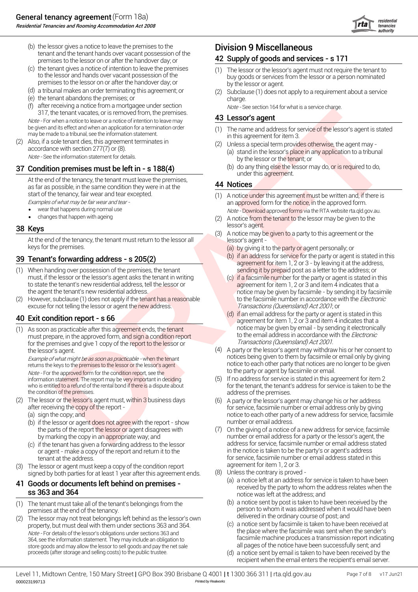

- (b) the lessor gives a notice to leave the premises to the  $\blacksquare$  Division 9 Miscellaneous tenant and the tenant hands over vacant possession of the premises to the lessor on or after the handover day; or
- (c) the tenant gives a notice of intention to leave the premises premises to the lessor on or after the handover day; or by the lessor or agent.
- (d) a tribunal makes an order terminating this agreement; or
- (e) charge. the tenant abandons the premises; or
- (f) after receiving a notice from a mortgagee under section  $\omega$  or  $\epsilon$  See section 164 for what is a service charge.<br>317, the tenant vacates, or is removed from, the premises.<br>43 Lessor's agent after receiving a notice from a mortgagee under section

be given and its effect and when an application for a termination order (1) The name and address for s<br>may be made to a tribunal, see the information statement. in this agreement for item 3.

(2) Also, if a sole tenant dies, this agreement terminates in accordance with section 277(7) or (8).<br> *Note* - See the information statement for details. (a) stand in the lessor's place in a<br>
by the lessor or the tenant; or

#### 37 Condition premises must be left in - s 188(4)  $\qquad \qquad ^{(b)}$

At the end of the tenancy, the tenant must leave the premises, as far as possible, in the same condition they were in at the start of the tenancy, fair wear and tear excepted.<br>Examples of what may be fair wear and tear -

- wear that happens during normal use
- changes that happen with ageing example of the changes that happen with ageing  $(2)$

#### 38 Keys

At the end of the tenancy, the tenant must return to the lessor all lessor's agent keys for the premises.

## 39 Tenant's forwarding address - s 205(2)  $\qquad \qquad ^{(b)}$

- (1) When handing over possession of the premises, the tenant sending it by prepaid post as a letter to the address; or must, if the lessor or the lessor's agent asks the tenant in writing<br>to state the tenant's new residential address, tell the lessor or to state the tenant's new residential address, tell the lessor or agreement for item 1, 2 or 3 and item 4 indicates that a<br>the agent the tenant's new residential address.
- (2) However, subclause (1) does not apply if the tenant has a reasonable to the facsimile number in accordance with the *Electronic* excuse for not telling the lessor or agent the new address. Transactions (Queensland) Act 2001; or

#### Exit condition report - s 66

notice may be given by email - by sending it electronically (1) As soon as practicable after this agreement ends, the tenant must prepare, in the approved form, and sign a condition report Transactions (Queensland) Act <sup>2001</sup>. for the premises and give 1 copy of the report to the lessor or the lessor's agent.

Note - For the approved form for the condition report, see the information statement. The report may be very important in deciding<br>who is entitled to a refund of the rental bond if there is a dispute about the condition of the premises. The condition of the premises.

- (2) The lessor or the lessor's agent must, wi<mark>thin 3</mark> business days  $\qquad \qquad (6)$ 
	- (a) sign the copy; and
	- (b) if the lessor or agent does not agree with the report show humber or email address. the parts of the report the lessor or agent disagrees with
	-
- agreement for item 1, 2 or 3. (3) The lessor or agent must keep a copy of the condition report signed by both parties for at least 1 year after this agreement ends. (8)

- (1) The tenant must take all of the tenant's belongings from the
- delivered in the ordinary course of post; and (2) The lessor may not treat belongings left behind as the lessor's own property, but must deal with them under sections 363 and 364.<br>the place where the facsimile was sent when the sender's Note - For details of the lessor's obligations under sections 363 and 364, see the information statement. They may include an obligation to store goods and may allow the lessor to sell goods and pay the net sale proceeds (after storage and selling costs) to the public trustee. (d)

#### 42 Supply of goods and services - s 171

- the tenant gives a notice of intention to leave the premises (1) The lessor or the lessor's agent must not require the tenant to<br>to the lessor and hands over vacant possession of the same buy goods or services from the les
	- (2) Subclause (1) does not apply to a requirement about a service

#### Lessor's agent

- (1) The name and address for service of the lessor's agent is stated
- Unless a special term provides otherwise, the agent may (a) stand in the lessor's place in any application to a tribunal
	- under this agreement. (b) do any thing else the lessor may do, or is required to do,

#### 44 Notices

- an approved form for the notice, in the approved form. Note - Download approved forms via the RTA website rta.qld.gov.au. (1) A notice under this agreement must be written and, if there is
- lessor's agent.<br>**38 Keys lessor's agent.** (2) A notice from the tenant to the lessor may be given to the
	- (3) A notice may be given to a party to this agreement or the
		- (a) by giving it to the party or agent personally; or
		- agreement for item 1, 2 or 3 by leaving it at the address, (b) if an address for service for the party or agent is stated in this
- The term value of the strength of the term is the strength of the strength of the strength of the strength of the strength of the strength of the strength of the strength of the strength of the strength of the strength of notice may be given by facsimile - by sending it by facsimile<br>to the facsimile number in accordance with the *Electronic* (c) if a facsimile number for the party or agent is stated in this
	- agreement for item 1, 2 or 3 and item 4 indicates that a<br>notice may be given by email by sending it electronically to the email address in accordance with the *Electronic*  $(d)$  if an email address for the party or agent is stated in this
	- Example of what might be as soon as practicable when the tenant<br>returns the keys to the premises to the lessor or the lessor's agent notice to each other party that notices are no longer to be given notice to each other party that notices are no longer to be given<br>to the party or agent by facsimile or email. A party or the lessor's agent may withdraw his or her consent to
		- for the tenant, the tenant's address for service is taken to be the If no address for service is stated in this agreement for item 2
	- after receiving the copy of the report for service, facsimile number or email address only by giving notice to each other party of a new address for service, facsimile<br>number or email address. A party or the lessor's agent may change his or her address
	- by marking the copy in an appropriate way; and number or email address for a party or the lessor's agent, the interess for service, facsimile number or email address stated if the tenant has given a forwarding address to t (c) if the tenant has given a forwarding address to the lessor and address for service, facsimile number or email address stated or agent - make a copy of the report and return it to the in the notice is taken to be the party's or agent's address tenant at the address.<br>
	I have a convention the condition report and the address stated in this agreement for item 1, 2 or 3. On the giving of a notice of a new address for service, facsimile
		- Unless the contrary is proved -
- 41 Goods or documents left behind on premises -<br>
received by the party to whom the address relates when the sold and 364 set of the party to whom the address relates when the set 363 and 364 notice was left at the address; and (a) a notice left at an address for service is taken to have been
	- (b) a notice sent by post is taken to have been received by the premises at the end of the tenancy.<br>The lessor may not treat belongings left behind as the lessor's own delivered in the ordinary course of post; and
		- facsimile machine produces a transmission report indicating<br>all pages of the notice have been successfully sent; and a notice sent by facsimile is taken to have been received at
		- recipient when the email enters the recipient's email server. a notice sent by email is taken to have been received by the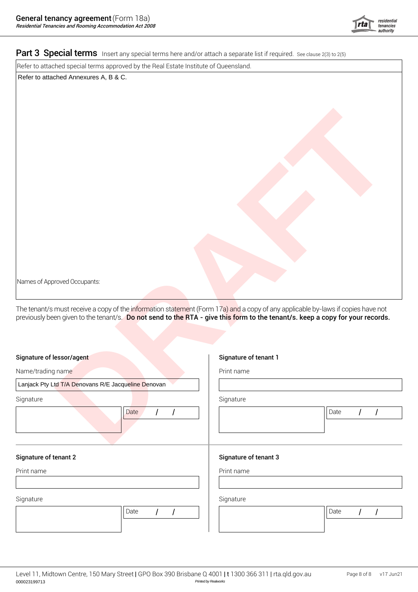

#### Part 3 Special terms Insert any special terms here and/or attach a separate list if required. See clause 2(3) to 2(5)

Refer to attached special terms approved by the Real Estate Institute of Queensland.

Refer to attached Annexures A, B & C.

| Names of Approved Occupants:                                                                                                                                                                                                                                   |                       |                                      |  |
|----------------------------------------------------------------------------------------------------------------------------------------------------------------------------------------------------------------------------------------------------------------|-----------------------|--------------------------------------|--|
| The tenant/s must receive a copy of the information statement (Form 17a) and a copy of any applicable by-laws if copies have not<br>previously been given to the tenant/s. Do not send to the RTA - give this form to the tenant/<br>Signature of lessor/agent | Signature of tenant 1 |                                      |  |
| Name/trading name                                                                                                                                                                                                                                              | Print name            |                                      |  |
| Lanjack Pty Ltd T/A Denovans R/E Jacqueline Denovan                                                                                                                                                                                                            |                       |                                      |  |
| Signature                                                                                                                                                                                                                                                      | Signature             |                                      |  |
| Date                                                                                                                                                                                                                                                           |                       | Date                                 |  |
| <b>Signature of tenant 2</b>                                                                                                                                                                                                                                   | Signature of tenant 3 |                                      |  |
| Print name                                                                                                                                                                                                                                                     | Print name            |                                      |  |
| Signature                                                                                                                                                                                                                                                      | Signature             |                                      |  |
| Date<br>$\prime$                                                                                                                                                                                                                                               |                       | Date<br>$\overline{I}$<br>$\sqrt{ }$ |  |
|                                                                                                                                                                                                                                                                |                       |                                      |  |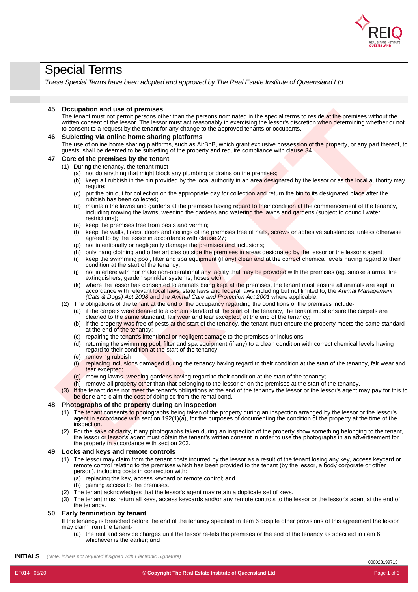

## Special Terms

*These Special Terms have been adopted and approved by The Real Estate Institute of Queensland Ltd.*

#### **45 Occupation and use of premises**

The tenant must not permit persons other than the persons nominated in the special terms to reside at the premises without the written consent of the lessor. The lessor must act reasonably in exercising the lessor's discretion when determining whether or not to consent to a request by the tenant for any change to the approved tenants or occupants.

# **Comptibion and use of premises by the the source periodic state is a special length and the source of the present of the source of the source of the source of the source of the source of the source of the source of the so 46 Subletting via online home sharing platforms** The use of online home sharing platforms, such as AirBnB, which grant exclusive possession of the property, or any part thereof. to guests, shall be deemed to be subletting of the property and require compliance with clause 34. **47 Care of the premises by the tenant**

#### (1) During the tenancy, the tenant must-

- (a) not do anything that might block any plumbing or drains on the premises;
- (b) keep all rubbish in the bin provided by the local authority in an area designated by the lessor or as the local authority may require;
- (c) put the bin out for collection on the appropriate day for collection and return the bin to its designated place after the rubbish has been collected;
- (d) maintain the lawns and gardens at the premises having regard to their condition at the commencement of the tenancy, including mowing the lawns, weeding the gardens and watering the lawns and gardens (subject to council water restrictions);
- (e) keep the premises free from pests and vermin;
- $\hat{f}$  keep the walls, floors, doors and ceilings of the premises free of nails, screws or adhesive substances, unless otherwise agreed to by the lessor in accordance with clause 27;
- (g) not intentionally or negligently damage the premises and inclusions;
- $(h)$  only hang clothing and other articles outside the premises in areas designated by the lessor or the lessor's agent;
- $(i)$  keep the swimming pool, filter and spa equipment (if any) clean and at the correct chemical levels having regard to their condition at the start of the tenancy;
- (j) not interfere with nor make non-operational any facility that may be provided with the premises (eg. smoke alarms, fire extinguishers, garden sprinkler systems, hoses etc).
- (k) where the lessor has consented to animals being kept at the premises, the tenant must ensure all animals are kept in accordance with relevant local laws, state laws and federal laws including but not limited to, the *Animal Management (Cats & Dogs) Act 2008* and the *Animal Care and Protection Act 2001* where applicable.
- (2) The obligations of the tenant at the end of the occupancy regarding the conditions of the premises include-
	- (a) if the carpets were cleaned to a certain standard at the start of the tenancy, the tenant must ensure the carpets are cleaned to the same standard, fair wear and tear excepted, at the end of the tenancy;
	- (b) if the property was free of pests at the start of the tenancy, the tenant must ensure the property meets the same standard at the end of the tenancy;
	- (c) repairing the tenant's intentional or negligent damage to the premises or inclusions;
	- (d) returning the swimming pool, filter and spa equipment (if any) to a clean condition with correct chemical levels having regard to their condition at the start of the tenancy;
	- (e) removing rubbish;
	- (f) replacing inclusions damaged during the tenancy having regard to their condition at the start of the tenancy, fair wear and tear excepted;
	- (g) mowing lawns, weeding gardens having regard to their condition at the start of the tenancy;
	- (h) remove all property other than that belonging to the lessor or on the premises at the start of the tenancy.
- If the tenant does not meet the tenant's obligations at the end of the tenancy the lessor or the lessor's agent may pay for this to be done and claim the cost of doing so from the rental bond.

#### **48 Photographs of the property during an inspection**

- (1) The tenant consents to photographs being taken of the property during an inspection arranged by the lessor or the lessor's agent in accordance with section 192(1)(a), for the purposes of documenting the condition of the property at the time of the inspection.
- (2) For the sake of clarity, if any photographs taken during an inspection of the property show something belonging to the tenant, the lessor or lessor's agent must obtain the tenant's written consent in order to use the photographs in an advertisement for the property in accordance with section 203.

#### **49 Locks and keys and remote controls**

- (1) The lessor may claim from the tenant costs incurred by the lessor as a result of the tenant losing any key, access keycard or remote control relating to the premises which has been provided to the tenant (by the lessor, a body corporate or other person), including costs in connection with:
	- (a) replacing the key, access keycard or remote control; and
	- (b) gaining access to the premises.
- (2) The tenant acknowledges that the lessor's agent may retain a duplicate set of keys.
- (3) The tenant must return all keys, access keycards and/or any remote controls to the lessor or the lessor's agent at the end of the tenancy.

#### **50 Early termination by tenant**

If the tenancy is breached before the end of the tenancy specified in item 6 despite other provisions of this agreement the lessor may claim from the tenant-

(a) the rent and service charges until the lessor re-lets the premises or the end of the tenancy as specified in item 6 whichever is the earlier; and

**INITIALS** *(Note: initials not required if signed with Electronic Signature)*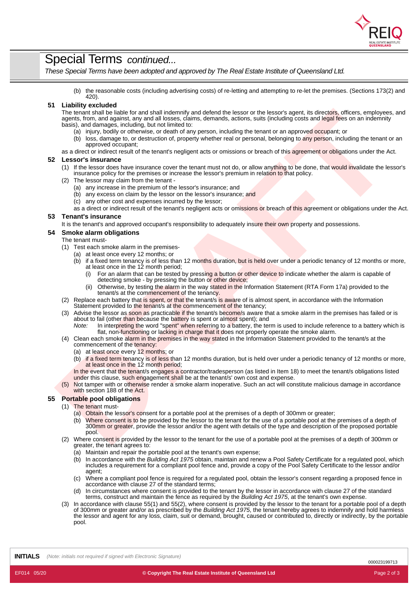

## Special Terms *continued...*

*These Special Terms have been adopted and approved by The Real Estate Institute of Queensland Ltd.*

(b) the reasonable costs (including advertising costs) of re-letting and attempting to re-let the premises. (Sections 173(2) and 420).

#### **51 Liability excluded**

The installation late late and state interaction and identifications and let easing the installations and the conservation of the installation installation in the installation of the installation installation in the instal The tenant shall be liable for and shall indemnify and defend the lessor or the lessor's agent, its directors, officers, employees, and agents, from, and against, any and all losses, claims, demands, actions, suits (including costs and legal fees on an indemnity basis), and damages, including, but not limited to:

- (a) injury, bodily or otherwise, or death of any person, including the tenant or an approved occupant; or
- (b) loss, damage to, or destruction of, property whether real or personal, belonging to any person, including the tenant or an approved occupant;

as a direct or indirect result of the tenant's negligent acts or omissions or breach of this agreement or obligations under the Act.

#### **52 Lessor's insurance**

- (1) If the lessor does have insurance cover the tenant must not do, or allow anything to be done, that would invalidate the lessor's
- insurance policy for the premises or increase the lessor's premium in relation to that policy.
- The lessor may claim from the tenant -
	- (a) any increase in the premium of the lessor's insurance; and
	- (b) any excess on claim by the lessor on the lessor's insurance; and
	- (c) any other cost and expenses incurred by the lessor;
	- as a direct or indirect result of the tenant's negligent acts or omissions or breach of this agreement or obligations under the Act.

#### **53 Tenant's insurance**

It is the tenant's and approved occupant's responsibility to adequately insure their own property and possessions.

#### **54 Smoke alarm obligations**

#### The tenant must-

- (1) Test each smoke alarm in the premises-
	- (a) at least once every 12 months; or
		- (b) if a fixed term tenancy is of less than 12 months duration, but is held over under a periodic tenancy of 12 months or more, at least once in the 12 month period;
			- (i) For an alarm that can be tested by pressing a button or other device to indicate whether the alarm is capable of detecting smoke - by pressing the button or other device;
			- (ii) Otherwise, by testing the alarm in the way stated in the Information Statement (RTA Form 17a) provided to the tenant/s at the commencement of the tenancy.
- (2) Replace each battery that is spent, or that the tenant/s is aware of is almost spent, in accordance with the Information Statement provided to the tenant/s at the commencement of the tenancy;
- (3) Advise the lessor as soon as practicable if the tenant/s become/s aware that a smoke alarm in the premises has failed or is about to fail (other than because the battery is spent or almost spent); and
	- *Note:* In interpreting the word "spent" when referring to a battery, the term is used to include reference to a battery which is flat, non-functioning or lacking in charge that it does not properly operate the smoke alarm.
- (4) Clean each smoke alarm in the premises in the way stated in the Information Statement provided to the tenant/s at the commencement of the tenancy:
	- (a) at least once every 12 months; or
	- (b) if a fixed term tenancy is of less than 12 months duration, but is held over under a periodic tenancy of 12 months or more, at least once in the 12 month period;

In the event that the tenant/s engages a contractor/tradesperson (as listed in Item 18) to meet the tenant/s obligations listed under this clause, such engagement shall be at the tenant/s' own cost and expense.

(5) Not tamper with or otherwise render a smoke alarm inoperative. Such an act will constitute malicious damage in accordance with section 188 of the Act.

#### **55 Portable pool obligations**

- (1) The tenant must-
	- (a) Obtain the lessor's consent for a portable pool at the premises of a depth of 300mm or greater;
	- (b) Where consent is to be provided by the lessor to the tenant for the use of a portable pool at the premises of a depth of 300mm or greater, provide the lessor and/or the agent with details of the type and description of the proposed portable pool.
- (2) Where consent is provided by the lessor to the tenant for the use of a portable pool at the premises of a depth of 300mm or greater, the tenant agrees to:
	- (a) Maintain and repair the portable pool at the tenant's own expense;
	- (b) In accordance with the *Building Act 1975* obtain, maintain and renew a Pool Safety Certificate for a regulated pool, which includes a requirement for a compliant pool fence and, provide a copy of the Pool Safety Certificate to the lessor and/or agent;
	- (c) Where a compliant pool fence is required for a regulated pool, obtain the lessor's consent regarding a proposed fence in accordance with clause 27 of the standard terms;
	- (d) In circumstances where consent is provided to the tenant by the lessor in accordance with clause 27 of the standard terms, construct and maintain the fence as required by the *Building Act 1975*, at the tenant's own expense.
- (3) In accordance with clause 55(1) and 55(2), where consent is provided by the lessor to the tenant for a portable pool of a depth of 300mm orgreater and/or as prescribed by the *Building Act 1975*, the tenant hereby agrees to indemnify and hold harmless the lessor and agent for any loss, claim, suit or demand, brought, caused or contributed to, directly or indirectly, by the portable pool.

**INITIALS** *(Note: initials not required if signed with Electronic Signature)*

000023199713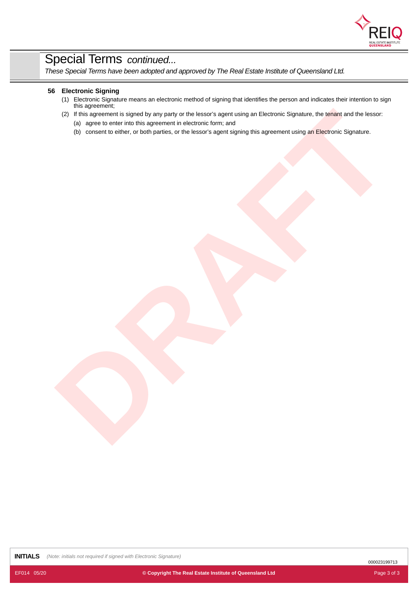

# Special Terms *continued...*

*These Special Terms have been adopted and approved by The Real Estate Institute of Queensland Ltd.*

#### **56 Electronic Signing**

- (1) Electronic Signature means an electronic method of signing that identifies the person and indicates their intention to sign this agreement;
- (2) This support in order for the supported in declaration for the state of the supported in the best of the supported in the supported in the control of the supported in the supported in the state of the supported in the (2) If this agreement is signed by any party or the lessor's agent using an Electronic Signature, the tenant and the lessor:
	- (a) agree to enter into this agreement in electronic form; and
	- (b) consent to either, or both parties, or the lessor's agent signing this agreement using an Electronic Signature.

**INITIALS** *(Note: initials not required if signed with Electronic Signature)*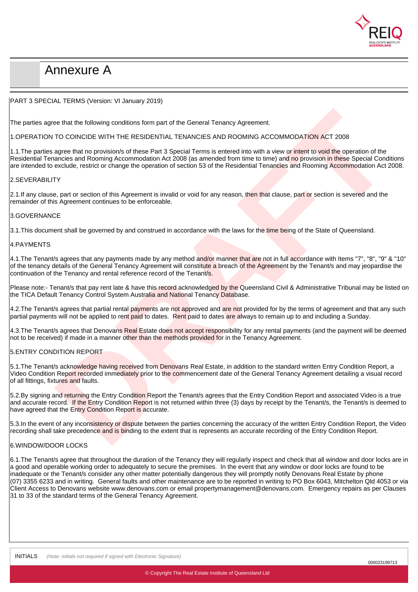

# Annexure A

#### PART 3 SPECIAL TERMS (Version: VI January 2019)

The parties agree that the following conditions form part of the General Tenancy Agreement.

#### 1.OPERATION TO COINCIDE WITH THE RESIDENTIAL TENANCIES AND ROOMING ACCOMMODATION ACT 2008

ee that the following conditions form part of the General Tenancy Agreement.<br>TO COINCIDE WITH THE RESIDENTIAL TENANCIES AND ROOMING ACCOMMODATION ACT 2008<br>agree that in providends of these Parts 3 Special Terms is related 1.1. The parties agree that no provision/s of these Part 3 Special Terms is entered into with a view or intent to void the operation of the Residential Tenancies and Rooming Accommodation Act 2008 (as amended from time to time) and no provision in these Special Conditions are intended to exclude, restrict or change the operation of section 53 of the Residential Tenancies and Rooming Accommodation Act 2008.

#### 2.SEVERABILITY

2.1.If any clause, part or section of this Agreement is invalid or void for any reason, then that clause, part or section is severed and the remainder of this Agreement continues to be enforceable.

#### 3.GOVERNANCE

3.1. This document shall be governed by and construed in accordance with the laws for the time being of the State of Queensland.

#### 4.PAYMENTS

4.1.The Tenant/s agrees that any payments made by any method and/or manner that are not in full accordance with Items "7", "8", "9" & "10" of the tenancy details of the General Tenancy Agreement will constitute a breach of the Agreement by the Tenant/s and may jeopardise the continuation of the Tenancy and rental reference record of the Tenant/s.

Please note:- Tenant/s that pay rent late & have this record acknowledged by the Queensland Civil & Administrative Tribunal may be listed on the TICA Default Tenancy Control System Australia and National Tenancy Database.

4.2. The Tenant/s agrees that partial rental payments are not approved and are not provided for by the terms of agreement and that any such partial payments will not be applied to rent paid to dates. Rent paid to dates are always to remain up to and including a Sunday.

4.3.The Tenant/s agrees that Denovans Real Estate does not accept responsibility for any rental payments (and the payment will be deemed not to be received) if made in a manner other than the methods provided for in the Tenancy Agreement.

#### 5.ENTRY CONDITION REPORT

5.1. The Tenant/s acknowledge having received from Denovans Real Estate, in addition to the standard written Entry Condition Report, a Video Condition Report recorded immediately prior to the commencement date of the General Tenancy Agreement detailing a visual record of all fittings, fixtures and faults.

5.2.By signing and returning the Entry Condition Report the Tenant/s agrees that the Entry Condition Report and associated Video is a true and accurate record. If the Entry Condition Report is not returned within three (3) days by receipt by the Tenant/s, the Tenant/s is deemed to have agreed that the Entry Condition Report is accurate.

5.3.In the event of any inconsistency or dispute between the parties concerning the accuracy of the written Entry Condition Report, the Video recording shall take precedence and is binding to the extent that is represents an accurate recording of the Entry Condition Report.

#### 6.WINDOW/DOOR LOCKS

6.1.The Tenant/s agree that throughout the duration of the Tenancy they will regularly inspect and check that all window and door locks are in a good and operable working order to adequately to secure the premises. In the event that any window or door locks are found to be inadequate or the Tenant/s consider any other matter potentially dangerous they will promptly notify Denovans Real Estate by phone (07) 3355 6233 and in writing. General faults and other maintenance are to be reported in writing to PO Box 6043, Mitchelton Qld 4053 or via Client Access to Denovans website www.denovans.com or email propertymanagement@denovans.com. Emergency repairs as per Clauses 31 to 33 of the standard terms of the General Tenancy Agreement.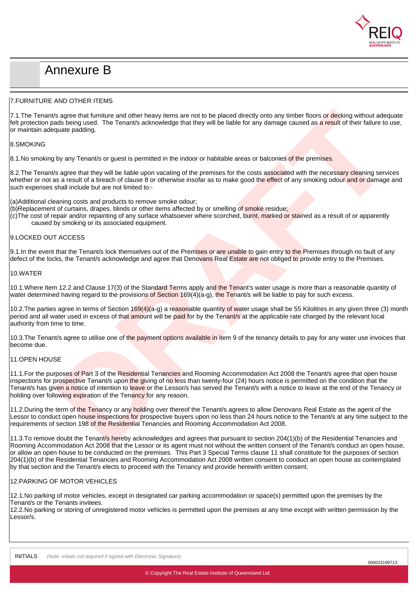

# Annexure B

#### 7.FURNITURE AND OTHER ITEMS

7.1. The Tenant/s agree that furniture and other heavy items are not to be placed directly onto any timber floors or decking without adequate felt protection pads being used. The Tenant/s acknowledge that they will be liable for any damage caused as a result of their failure to use, or maintain adequate padding.

#### 8.SMOKING

8.1. No smoking by any Tenant/s or quest is permitted in the indoor or habitable areas or balconies of the premises.

8.2. The Tenant/s agree that they will be liable upon vacating of the premises for the costs associated with the necessary cleaning services whether or not as a result of a breach of clause 8 or otherwise insofar as to make good the effect of any smoking odour and or damage and such expenses shall include but are not limited to:-

(a)Additional cleaning costs and products to remove smoke odour;

- (b)Replacement of curtains, drapes, blinds or other items affected by or smelling of smoke residue;
- (c)The cost of repair and/or repainting of any surface whatsoever where scorched, burnt, marked or stained as a result of or apparently caused by smoking or its associated equipment.

#### 9.LOCKED OUT ACCESS

9.1. In the event that the Tenant/s lock themselves out of the Premises or are unable to gain entry to the Premises through no fault of any defect of the locks, the Tenant/s acknowledge and agree that Denovans Real Estate are not obliged to provide entry to the Premises.

#### 10.WATER

10.1. Where Item 12.2 and Clause 17(3) of the Standard Terms apply and the Tenant's water usage is more than a reasonable quantity of water determined having regard to the provisions of Section  $169(4)(a-q)$ , the Tenant/s will be liable to pay for such excess.

10.2.The parties agree in terms of Section 169(4)(a-g) a reasonable quantity of water usage shall be 55 Kilolitres in any given three (3) month period and all water used in excess of that amount will be paid for by the Tenant/s at the applicable rate charged by the relevant local authority from time to time.

10.3. The Tenant/s agree to utilise one of the payment options available in item 9 of the tenancy details to pay for any water use invoices that become due.

#### 11.OPEN HOUSE

by any that further and other heavy learns are not be be placed directly onto any timber flours of decision without autoquate<br>And being used. The Tenant's acknowledge that they will be lable for any damage curves of a stre 11.1. For the purposes of Part 3 of the Residential Tenancies and Rooming Accommodation Act 2008 the Tenant/s agree that open house inspections for prospective Tenant/s upon the giving of no less than twenty-four (24) hours notice is permitted on the condition that the Tenant/s has given a notice of intention to leave or the Lessor/s has served the Tenant/s with a notice to leave at the end of the Tenancy or holding over following expiration of the Tenancy for any reason.

11.2.During the term of the Tenancy or any holding over thereof the Tenant/s agrees to allow Denovans Real Estate as the agent of the Lessor to conduct open house inspections for prospective buyers upon no less than 24 hours notice to the Tenant/s at any time subject to the requirements of section 198 of the Residential Tenancies and Rooming Accommodation Act 2008.

11.3.To remove doubt the Tenant/s hereby acknowledges and agrees that pursuant to section 204(1)(b) of the Residential Tenancies and Rooming Accommodation Act 2008 that the Lessor or its agent must not without the written consent of the Tenant/s conduct an open house, or allow an open house to be conducted on the premises. This Part 3 Special Terms clause 11 shall constitute for the purposes of section 204(1)(b) of the Residential Tenancies and Rooming Accommodation Act 2008 written consent to conduct an open house as contemplated by that section and the Tenant/s elects to proceed with the Tenancy and provide herewith written consent.

#### 12.PARKING OF MOTOR VEHICLES

12.1.No parking of motor vehicles, except in designated car parking accommodation or space(s) permitted upon the premises by the Tenant/s or the Tenants invitees.

12.2.No parking or storing of unregistered motor vehicles is permitted upon the premises at any time except with written permission by the Lessor/s.